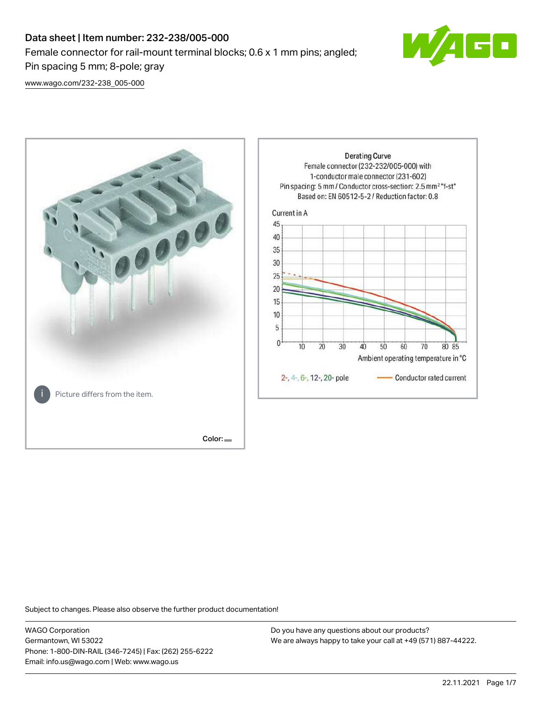# Data sheet | Item number: 232-238/005-000 Female connector for rail-mount terminal blocks; 0.6 x 1 mm pins; angled; Pin spacing 5 mm; 8-pole; gray



[www.wago.com/232-238\\_005-000](http://www.wago.com/232-238_005-000)



Subject to changes. Please also observe the further product documentation!

WAGO Corporation Germantown, WI 53022 Phone: 1-800-DIN-RAIL (346-7245) | Fax: (262) 255-6222 Email: info.us@wago.com | Web: www.wago.us

Do you have any questions about our products? We are always happy to take your call at +49 (571) 887-44222.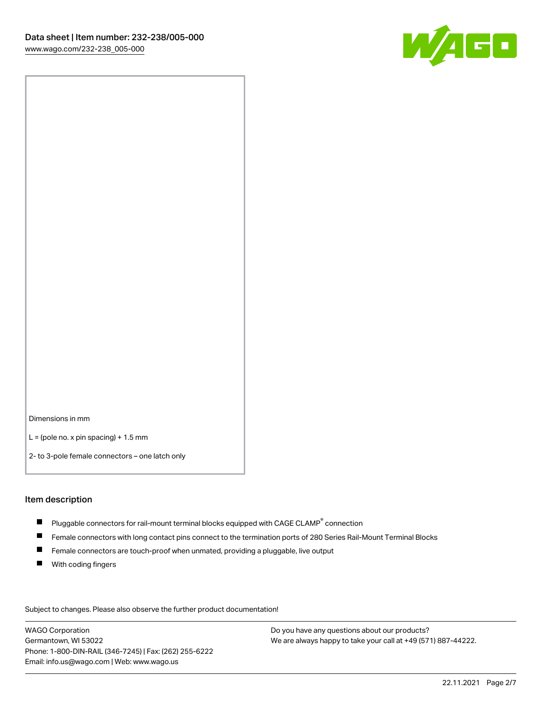

Dimensions in mm

 $L =$  (pole no. x pin spacing) + 1.5 mm

2- to 3-pole female connectors – one latch only

#### Item description

- $\blacksquare$  Pluggable connectors for rail-mount terminal blocks equipped with CAGE CLAMP $^\circ$  connection
- Female connectors with long contact pins connect to the termination ports of 280 Series Rail-Mount Terminal Blocks
- $\blacksquare$ Female connectors are touch-proof when unmated, providing a pluggable, live output
- $\blacksquare$ With coding fingers

Subject to changes. Please also observe the further product documentation! Data

WAGO Corporation Germantown, WI 53022 Phone: 1-800-DIN-RAIL (346-7245) | Fax: (262) 255-6222 Email: info.us@wago.com | Web: www.wago.us

Do you have any questions about our products? We are always happy to take your call at +49 (571) 887-44222.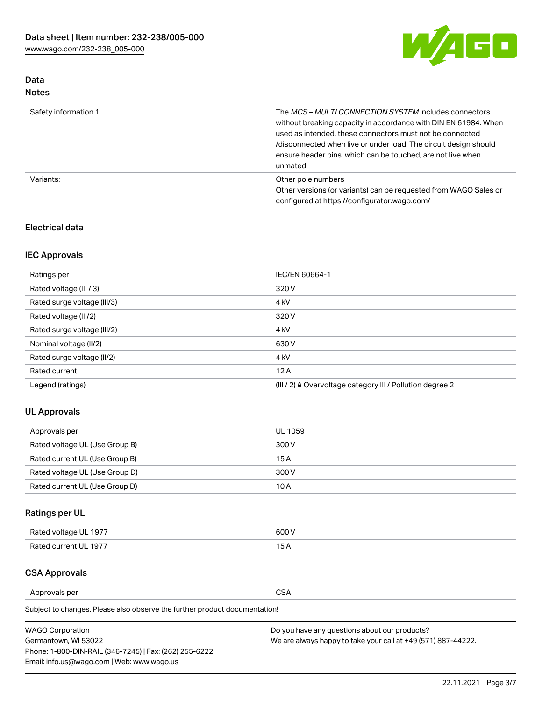

# Data Notes

| Safety information 1 | The MCS-MULTI CONNECTION SYSTEM includes connectors<br>without breaking capacity in accordance with DIN EN 61984. When<br>used as intended, these connectors must not be connected<br>/disconnected when live or under load. The circuit design should<br>ensure header pins, which can be touched, are not live when<br>unmated. |
|----------------------|-----------------------------------------------------------------------------------------------------------------------------------------------------------------------------------------------------------------------------------------------------------------------------------------------------------------------------------|
| Variants:            | Other pole numbers<br>Other versions (or variants) can be requested from WAGO Sales or<br>configured at https://configurator.wago.com/                                                                                                                                                                                            |

# Electrical data

# IEC Approvals

| Ratings per                 | IEC/EN 60664-1                                                        |
|-----------------------------|-----------------------------------------------------------------------|
| Rated voltage (III / 3)     | 320 V                                                                 |
| Rated surge voltage (III/3) | 4 <sub>k</sub> V                                                      |
| Rated voltage (III/2)       | 320 V                                                                 |
| Rated surge voltage (III/2) | 4 <sub>k</sub> V                                                      |
| Nominal voltage (II/2)      | 630 V                                                                 |
| Rated surge voltage (II/2)  | 4 <sub>k</sub> V                                                      |
| Rated current               | 12A                                                                   |
| Legend (ratings)            | $(III / 2)$ $\triangle$ Overvoltage category III / Pollution degree 2 |

# UL Approvals

| Approvals per                  | UL 1059 |
|--------------------------------|---------|
| Rated voltage UL (Use Group B) | 300 V   |
| Rated current UL (Use Group B) | 15 A    |
| Rated voltage UL (Use Group D) | 300 V   |
| Rated current UL (Use Group D) | 10 A    |

# Ratings per UL

| Rated voltage UL 1977 | 300 V |
|-----------------------|-------|
| Rated current UL 1977 |       |

### CSA Approvals

Approvals per CSA

| <b>WAGO Corporation</b>                                | Do you have any questions about our products?                 |
|--------------------------------------------------------|---------------------------------------------------------------|
| Germantown, WI 53022                                   | We are always happy to take your call at +49 (571) 887-44222. |
| Phone: 1-800-DIN-RAIL (346-7245)   Fax: (262) 255-6222 |                                                               |
| Email: info.us@wago.com   Web: www.wago.us             |                                                               |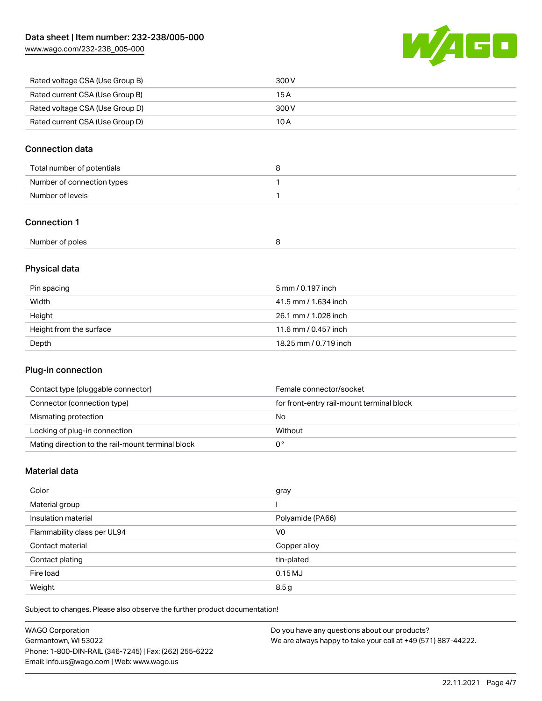[www.wago.com/232-238\\_005-000](http://www.wago.com/232-238_005-000)



| Rated voltage CSA (Use Group B) | 300 V |
|---------------------------------|-------|
| Rated current CSA (Use Group B) | 15 A  |
| Rated voltage CSA (Use Group D) | 300 V |
| Rated current CSA (Use Group D) | 10 A  |

# Connection data

### Connection 1

| Number of poles |  |  |
|-----------------|--|--|
|-----------------|--|--|

# Physical data

| Pin spacing             | 5 mm / 0.197 inch     |
|-------------------------|-----------------------|
| Width                   | 41.5 mm / 1.634 inch  |
| Height                  | 26.1 mm / 1.028 inch  |
| Height from the surface | 11.6 mm / 0.457 inch  |
| Depth                   | 18.25 mm / 0.719 inch |

# Plug-in connection

| Contact type (pluggable connector)                | Female connector/socket                   |
|---------------------------------------------------|-------------------------------------------|
| Connector (connection type)                       | for front-entry rail-mount terminal block |
| Mismating protection                              | No                                        |
| Locking of plug-in connection                     | Without                                   |
| Mating direction to the rail-mount terminal block |                                           |

# Material data

| Color                       | gray             |
|-----------------------------|------------------|
| Material group              |                  |
| Insulation material         | Polyamide (PA66) |
| Flammability class per UL94 | V <sub>0</sub>   |
| Contact material            | Copper alloy     |
| Contact plating             | tin-plated       |
| Fire load                   | 0.15 MJ          |
| Weight                      | 8.5g             |

| <b>WAGO Corporation</b>                                | Do you have any questions about our products?                 |
|--------------------------------------------------------|---------------------------------------------------------------|
| Germantown, WI 53022                                   | We are always happy to take your call at +49 (571) 887-44222. |
| Phone: 1-800-DIN-RAIL (346-7245)   Fax: (262) 255-6222 |                                                               |
| Email: info.us@wago.com   Web: www.wago.us             |                                                               |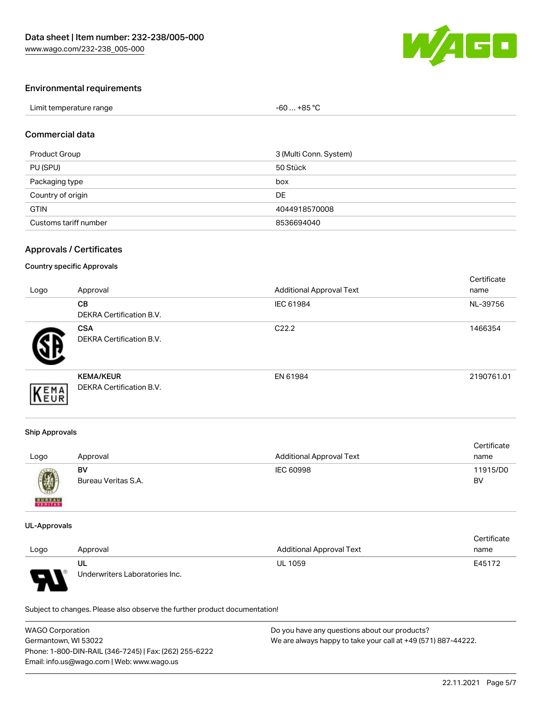

## Environmental requirements

| Limit temperature range | -60  +85 °Ր |  |
|-------------------------|-------------|--|
|-------------------------|-------------|--|

### Commercial data

| Product Group         | 3 (Multi Conn. System) |
|-----------------------|------------------------|
| PU (SPU)              | 50 Stück               |
| Packaging type        | box                    |
| Country of origin     | DE                     |
| <b>GTIN</b>           | 4044918570008          |
| Customs tariff number | 8536694040             |

## Approvals / Certificates

#### Country specific Approvals

| Logo | Approval                                            | <b>Additional Approval Text</b> | Certificate<br>name |
|------|-----------------------------------------------------|---------------------------------|---------------------|
|      | <b>CB</b><br><b>DEKRA Certification B.V.</b>        | IEC 61984                       | NL-39756            |
|      | <b>CSA</b><br><b>DEKRA Certification B.V.</b>       | C <sub>22.2</sub>               | 1466354             |
| EMA  | <b>KEMA/KEUR</b><br><b>DEKRA Certification B.V.</b> | EN 61984                        | 2190761.01          |

#### Ship Approvals

| Logo                                                                                                                                                                                                                                                                                                                                                                                                                                                                                | Approval            | <b>Additional Approval Text</b> | Certificate<br>name |
|-------------------------------------------------------------------------------------------------------------------------------------------------------------------------------------------------------------------------------------------------------------------------------------------------------------------------------------------------------------------------------------------------------------------------------------------------------------------------------------|---------------------|---------------------------------|---------------------|
| $\bigcirc\!\!\!\!\! \bigcirc\!\!\!\!\! \bigcirc\!\!\!\!\! \bigcirc\!\!\!\!\! \bigcirc\!\!\!\!\! \bigcirc\!\!\!\!\! \bigcirc\!\!\!\!\! \bigcirc\!\!\!\!\! \bigcirc\!\!\!\!\! \bigcirc\!\!\!\!\! \bigcirc\!\!\!\!\! \bigcirc\!\!\!\!\! \bigcirc\!\!\!\!\! \bigcirc\!\!\!\!\! \bigcirc\!\!\!\!\! \bigcirc\!\!\!\!\! \bigcirc\!\!\!\!\! \bigcirc\!\!\!\!\! \bigcirc\!\!\!\!\! \bigcirc\!\!\!\!\! \bigcirc\!\!\!\!\! \bigcirc\!\!\!\!\! \bigcirc\!\!\!\!\! \bigcirc\!\!\!\!\! \bigcirc\$ | BV                  | IEC 60998                       | 11915/D0            |
| <b>BUREAU</b>                                                                                                                                                                                                                                                                                                                                                                                                                                                                       | Bureau Veritas S.A. |                                 | BV                  |

#### UL-Approvals

|      |                                |                                 | Certificate |
|------|--------------------------------|---------------------------------|-------------|
| Logo | Approval                       | <b>Additional Approval Text</b> | name        |
|      | UL                             | <b>UL 1059</b>                  | E45172      |
| L    | Underwriters Laboratories Inc. |                                 |             |

| <b>WAGO Corporation</b>                                | Do you have any questions about our products?                 |
|--------------------------------------------------------|---------------------------------------------------------------|
| Germantown, WI 53022                                   | We are always happy to take your call at +49 (571) 887-44222. |
| Phone: 1-800-DIN-RAIL (346-7245)   Fax: (262) 255-6222 |                                                               |
| Email: info.us@wago.com   Web: www.wago.us             |                                                               |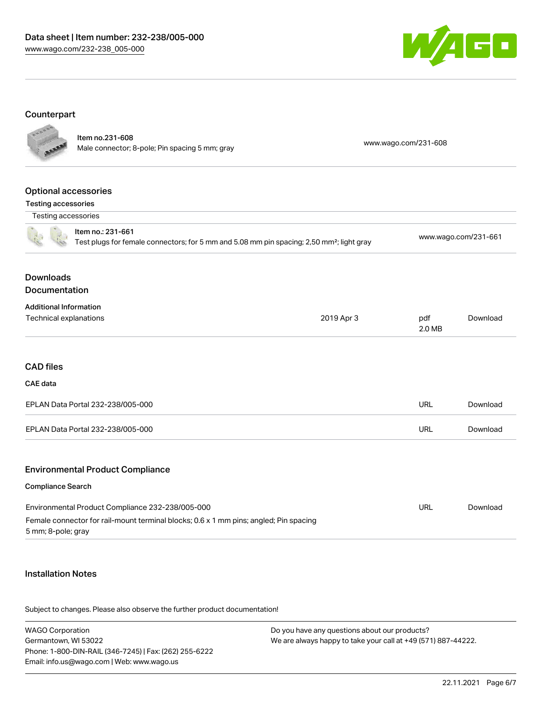

#### Counterpart **College**

| FOOD                                                           | Item no.231-608<br>Male connector; 8-pole; Pin spacing 5 mm; gray                                                                         |            | www.wago.com/231-608 |                      |
|----------------------------------------------------------------|-------------------------------------------------------------------------------------------------------------------------------------------|------------|----------------------|----------------------|
| <b>Optional accessories</b><br><b>Testing accessories</b>      |                                                                                                                                           |            |                      |                      |
| Testing accessories                                            |                                                                                                                                           |            |                      |                      |
|                                                                | Item no.: 231-661<br>Test plugs for female connectors; for 5 mm and 5.08 mm pin spacing; 2,50 mm <sup>2</sup> ; light gray                |            |                      | www.wago.com/231-661 |
| <b>Downloads</b><br>Documentation                              |                                                                                                                                           |            |                      |                      |
| <b>Additional Information</b><br><b>Technical explanations</b> |                                                                                                                                           | 2019 Apr 3 | pdf<br>2.0 MB        | Download             |
| <b>CAD files</b>                                               |                                                                                                                                           |            |                      |                      |
| <b>CAE</b> data                                                |                                                                                                                                           |            |                      |                      |
|                                                                | EPLAN Data Portal 232-238/005-000                                                                                                         |            | <b>URL</b>           | Download             |
|                                                                | EPLAN Data Portal 232-238/005-000                                                                                                         |            | <b>URL</b>           | Download             |
|                                                                | <b>Environmental Product Compliance</b>                                                                                                   |            |                      |                      |
| <b>Compliance Search</b>                                       |                                                                                                                                           |            |                      |                      |
| 5 mm; 8-pole; gray                                             | Environmental Product Compliance 232-238/005-000<br>Female connector for rail-mount terminal blocks; 0.6 x 1 mm pins; angled; Pin spacing |            | <b>URL</b>           | Download             |
|                                                                |                                                                                                                                           |            |                      |                      |

# Installation Notes

| <b>WAGO Corporation</b>                                | Do you have any questions about our products?                 |
|--------------------------------------------------------|---------------------------------------------------------------|
| Germantown, WI 53022                                   | We are always happy to take your call at +49 (571) 887-44222. |
| Phone: 1-800-DIN-RAIL (346-7245)   Fax: (262) 255-6222 |                                                               |
| Email: info.us@wago.com   Web: www.wago.us             |                                                               |